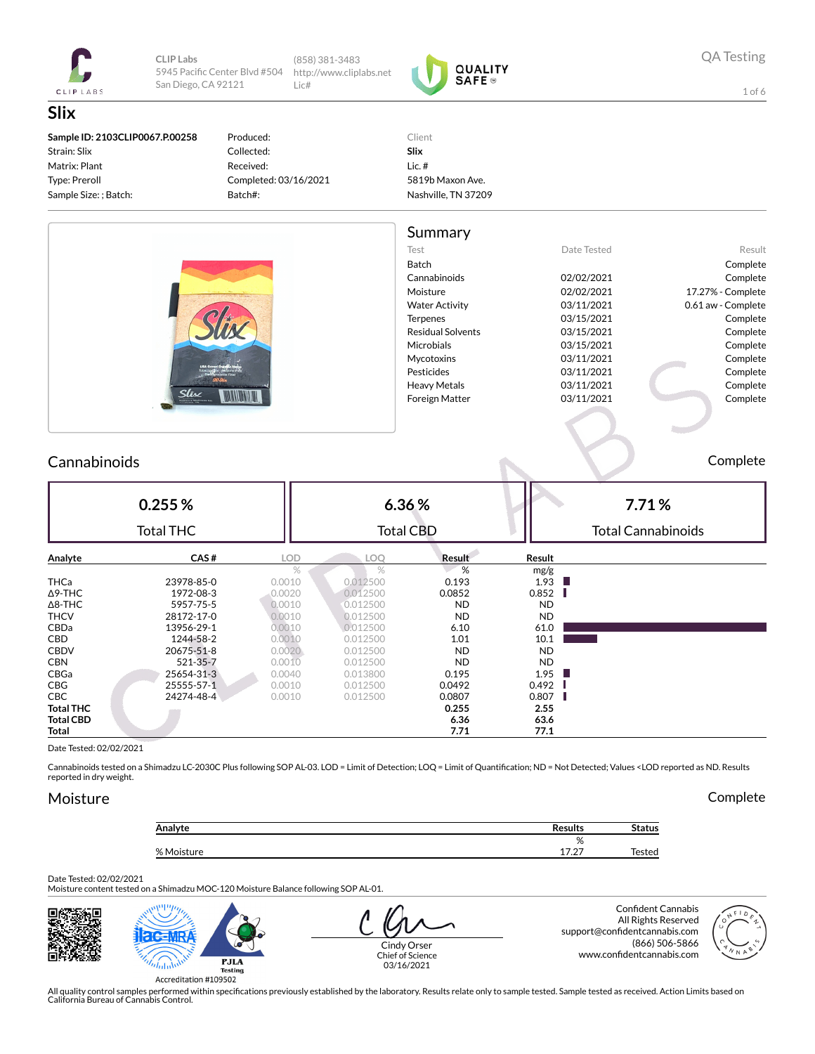

CLIP Labs 5945 Pacific Center Blvd #504 San Diego, CA 92121

(858) 381-3483 http://www.cliplabs.net  $l$  ic#



**QA Testing** 

Complete

 $1$  of 6

| Sample ID: 2103CLIP0067.P.00258<br>Strain: Slix<br>Matrix: Plant<br>Type: Preroll<br>Sample Size: ; Batch: | Produced:<br>Collected:<br>Received:<br>Completed: 03/16/2021<br>Batch#: | Client<br>Slix<br>Lic. $#$<br>5819b Maxon Ave.<br>Nashville, TN 37209 |             |                    |
|------------------------------------------------------------------------------------------------------------|--------------------------------------------------------------------------|-----------------------------------------------------------------------|-------------|--------------------|
|                                                                                                            |                                                                          | Summary                                                               |             |                    |
|                                                                                                            |                                                                          | Test                                                                  | Date Tested | Resul              |
|                                                                                                            |                                                                          | Batch                                                                 |             | Complete           |
|                                                                                                            |                                                                          | Cannabinoids                                                          | 02/02/2021  | Complete           |
|                                                                                                            |                                                                          | Moisture                                                              | 02/02/2021  | 17.27% - Complete  |
|                                                                                                            |                                                                          | <b>Water Activity</b>                                                 | 03/11/2021  | 0.61 aw - Complete |
|                                                                                                            |                                                                          | Terpenes                                                              | 03/15/2021  | Complete           |
|                                                                                                            |                                                                          | <b>Residual Solvents</b>                                              | 03/15/2021  | Complete           |
|                                                                                                            |                                                                          | Microbials                                                            | 03/15/2021  | Complete           |
|                                                                                                            |                                                                          | Mycotoxins                                                            | 03/11/2021  | Complete           |
|                                                                                                            |                                                                          | Pesticides                                                            | 03/11/2021  | Complete           |
|                                                                                                            |                                                                          | <b>Heavy Metals</b>                                                   | 03/11/2021  | Complete           |
| Slis $\epsilon$                                                                                            |                                                                          | Foreign Matter                                                        | 03/11/2021  | Complete           |
|                                                                                                            |                                                                          |                                                                       |             |                    |

#### Cannabinoids

 $0.255%$ 6.36% 7.71% **Total CBD Total THC Total Cannabinoids** Analyte CAS# LOD LOQ Result **Result**  $%$  $\%$  $\frac{0}{2}$  $mg/g$ THCa 23978-85-0  $0.0010$ 0.012500 0.193 1.93 п  $\Delta$ 9-THC 1972-08-3 0.0020 0.012500 0.0852 0.852 I  $\Delta$ 8-THC 5957-75-5  $0.0010$ 0.012500 **ND ND THCV** 28172-17-0 0.0010 0.012500 **ND ND**  $CBDa$ 13956-29-1 0.0010 0.012500  $6.10$ 61.0 CBD 1244-58-2  $0.0010$ 0.012500 1.01 10.1  $0.0020$ 0.012500 CBDV 20675-51-8 **ND ND**  $0.0010$ 0.012500 **CBN** 521-35-7 **ND ND** CBGa 25654-31-3 0.0040 0.013800 0.195 1.95 CBG 25555-57-1 0.0010 0.012500 0.0492 0.492 0.807 CBC 24274-48-4 0.0010 0.012500 0.0807 Ш **Total THC** 0.255 2.55 **Total CBD** 6.36 63.6  $7.71$  $77.1$ **Total** 

Date Tested: 02/02/2021

Cannabinoids tested on a Shimadzu LC-2030C Plus following SOP AL-03. LOD = Limit of Detection; LOQ = Limit of Quantification; ND = Not Detected; Values <LOD reported as ND. Results reported in dry weight.

### Moisture

| <b>Results</b> | <b>Status</b> |
|----------------|---------------|
| %              |               |
| 1707<br>17.Z   | Tested        |
|                |               |

Date Tested: 02/02/2021

Moisture content tested on a Shimadzu MOC-120 Moisture Balance following SOP AL-01.





Complete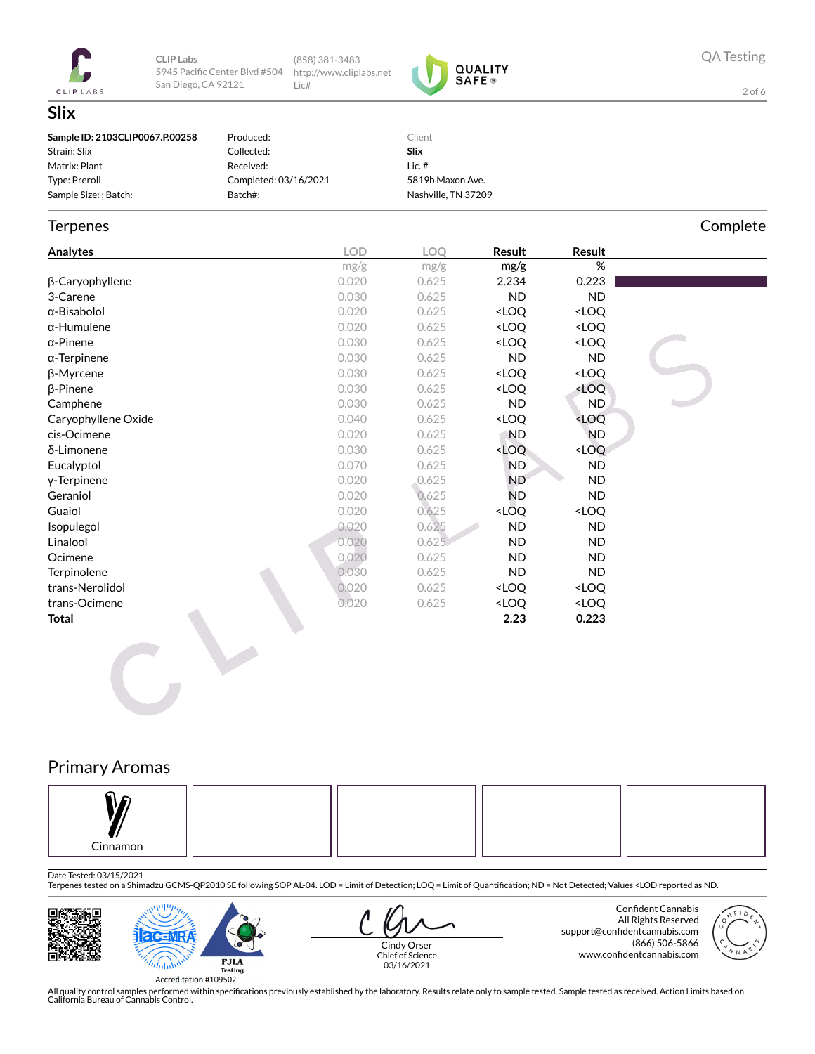

CLIP Labs 5945 Pacific Center Blvd #504 San Diego, CA 92121

(858) 381-3483 http://www.cliplabs.net Lic#



**QA Testing** 

Complete

 $2$  of 6

## Slix

| Sample ID: 2103CLIP0067.P.00258 | Produced:             | Client              |
|---------------------------------|-----------------------|---------------------|
| Strain: Slix                    | Collected:            | Slix                |
| Matrix: Plant                   | Received:             | Lic. #              |
| Type: Preroll                   | Completed: 03/16/2021 | 5819b Maxon Ave.    |
| Sample Size: ; Batch:           | Batch#:               | Nashville, TN 37209 |

#### Terpenes

| <b>Analytes</b>        | <b>LOD</b> | <b>LOO</b> | Result                                                   | Result                       |  |
|------------------------|------------|------------|----------------------------------------------------------|------------------------------|--|
|                        | mg/g       | mg/g       | mg/g                                                     | $\%$                         |  |
| $\beta$ -Caryophyllene | 0.020      | 0.625      | 2.234                                                    | 0.223                        |  |
| 3-Carene               | 0.030      | 0.625      | ND.                                                      | <b>ND</b>                    |  |
| α-Bisabolol            | 0.020      | 0.625      | <loq< th=""><th><loq< th=""><th></th></loq<></th></loq<> | <loq< th=""><th></th></loq<> |  |
| $\alpha$ -Humulene     | 0.020      | 0.625      | <loq< th=""><th><loq< th=""><th></th></loq<></th></loq<> | <loq< th=""><th></th></loq<> |  |
| $\alpha$ -Pinene       | 0.030      | 0.625      | <loq< th=""><th><loq< th=""><th></th></loq<></th></loq<> | <loq< th=""><th></th></loq<> |  |
| $\alpha$ -Terpinene    | 0.030      | 0.625      | <b>ND</b>                                                | ND                           |  |
| β-Myrcene              | 0.030      | 0.625      | <loq< th=""><th><loq< th=""><th></th></loq<></th></loq<> | <loq< th=""><th></th></loq<> |  |
| $\beta$ -Pinene        | 0.030      | 0.625      | <loq< th=""><th><loq< th=""><th></th></loq<></th></loq<> | <loq< th=""><th></th></loq<> |  |
| Camphene               | 0.030      | 0.625      | ND.                                                      | ND.                          |  |
| Caryophyllene Oxide    | 0.040      | 0.625      | <loq< th=""><th><loq< th=""><th></th></loq<></th></loq<> | <loq< th=""><th></th></loq<> |  |
| cis-Ocimene            | 0.020      | 0.625      | ND.                                                      | <b>ND</b>                    |  |
| δ-Limonene             | 0.030      | 0.625      | <loq< th=""><th><loq< th=""><th></th></loq<></th></loq<> | <loq< th=""><th></th></loq<> |  |
| Eucalyptol             | 0.070      | 0.625      | ND.                                                      | <b>ND</b>                    |  |
| y-Terpinene            | 0.020      | 0.625      | <b>ND</b>                                                | <b>ND</b>                    |  |
| Geraniol               | 0.020      | 0.625      | <b>ND</b>                                                | ND.                          |  |
| Guaiol                 | 0.020      | 0.625      | <loq< th=""><th><loq< th=""><th></th></loq<></th></loq<> | <loq< th=""><th></th></loq<> |  |
| Isopulegol             | 0.020      | 0.625      | ND.                                                      | ND.                          |  |
| Linalool               | 0.020      | 0.625      | ND.                                                      | ND                           |  |
| Ocimene                | 0.020      | 0.625      | ND.                                                      | <b>ND</b>                    |  |
| Terpinolene            | 0.030      | 0.625      | ND.                                                      | ND.                          |  |
| trans-Nerolidol        | 0.020      | 0.625      | <loq< th=""><th><loq< th=""><th></th></loq<></th></loq<> | <loq< th=""><th></th></loq<> |  |
| trans-Ocimene          | 0.020      | 0.625      | <loq< th=""><th><loq< th=""><th></th></loq<></th></loq<> | <loq< th=""><th></th></loq<> |  |
| Total                  |            |            | 2.23                                                     | 0.223                        |  |

# **Primary Aromas**



#### Date Tested: 03/15/2021

Displaces to the state of the Shimadzu GCMS-QP2010 SE following SOP AL-04. LOD = Limit of Detection; LOQ = Limit of Quantification; ND = Not Detected; Values <LOD reported as ND.





Cindy Orser Chief of Science

03/16/2021

Confident Cannabis All Rights Reserved support@confidentcannabis.com (866) 506-5866 www.confidentcannabis.com

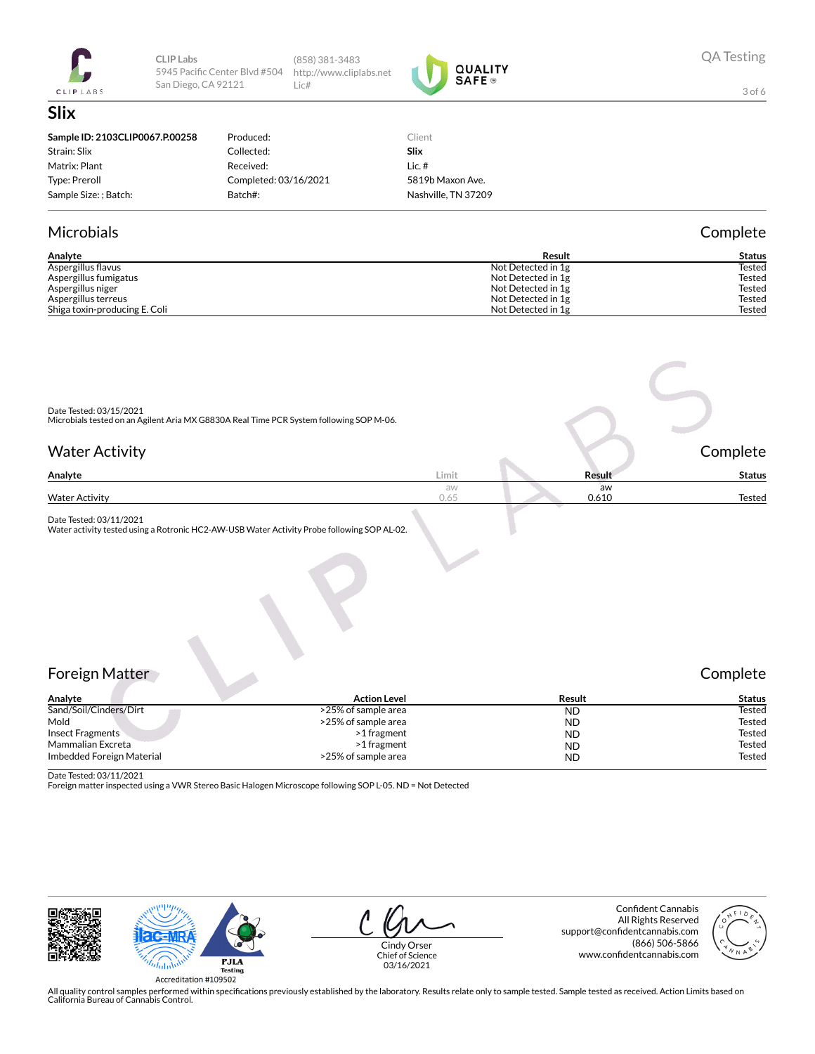

**CLIP Labs** 5945 Pacific Center Blvd #504 San Diego, CA 92121

(858) 381-3483 http://www.cliplabs.net Lic#



3 of 6

#### **Slix Sample ID: 2103CLIP0067.P.00258** Strain: Slix Matrix: Plant Type: Preroll Sample Size: ; Batch: Produced: Collected: Received: Completed: 03/16/2021 Batch#: Client **Slix** Lic. # 5819b Maxon Ave. Nashville, TN 37209

#### Microbials Complete

| Analyte                       | Result             | Status        |
|-------------------------------|--------------------|---------------|
| Aspergillus flavus            | Not Detected in 1g | Tested        |
| Aspergillus fumigatus         | Not Detected in 1g | <b>Tested</b> |
| Aspergillus niger             | Not Detected in 1g | <b>Tested</b> |
| Aspergillus terreus           | Not Detected in 1g | Tested        |
| Shiga toxin-producing E. Coli | Not Detected in 1g | Tested        |

| Date Tested: 03/15/2021<br>Microbials tested on an Agilent Aria MX G8830A Real Time PCR System following SOP M-06. |            |             |               |
|--------------------------------------------------------------------------------------------------------------------|------------|-------------|---------------|
| <b>Water Activity</b>                                                                                              |            |             | Complete      |
| Analyte                                                                                                            | Limit      | Result      | <b>Status</b> |
| <b>Water Activity</b>                                                                                              | aw<br>0.65 | aw<br>0.610 | Tested        |

Date Tested: 03/11/2021 Water activity tested using a Rotronic HC2-AW-USB Water Activity Probe following SOP AL-02.

### Foreign Matter Complete

| Analyte                   | <b>Action Level</b> | Result    | <b>Status</b> |
|---------------------------|---------------------|-----------|---------------|
| Sand/Soil/Cinders/Dirt    | >25% of sample area | <b>ND</b> | Tested        |
| Mold                      | >25% of sample area | <b>ND</b> | Tested        |
| <b>Insect Fragments</b>   | >1 fragment         | <b>ND</b> | Tested        |
| Mammalian Excreta         | >1 fragment         | <b>ND</b> | Tested        |
| Imbedded Foreign Material | >25% of sample area | <b>ND</b> | <b>Tested</b> |

Date Tested: 03/11/2021

Foreign matter inspected using a VWR Stereo Basic Halogen Microscope following SOP L-05. ND = Not Detected



Cindy Orser Chief of Science 03/16/2021

Confident Cannabis All Rights Reserved support@confidentcannabis.com (866) 506-5866 www.confidentcannabis.com

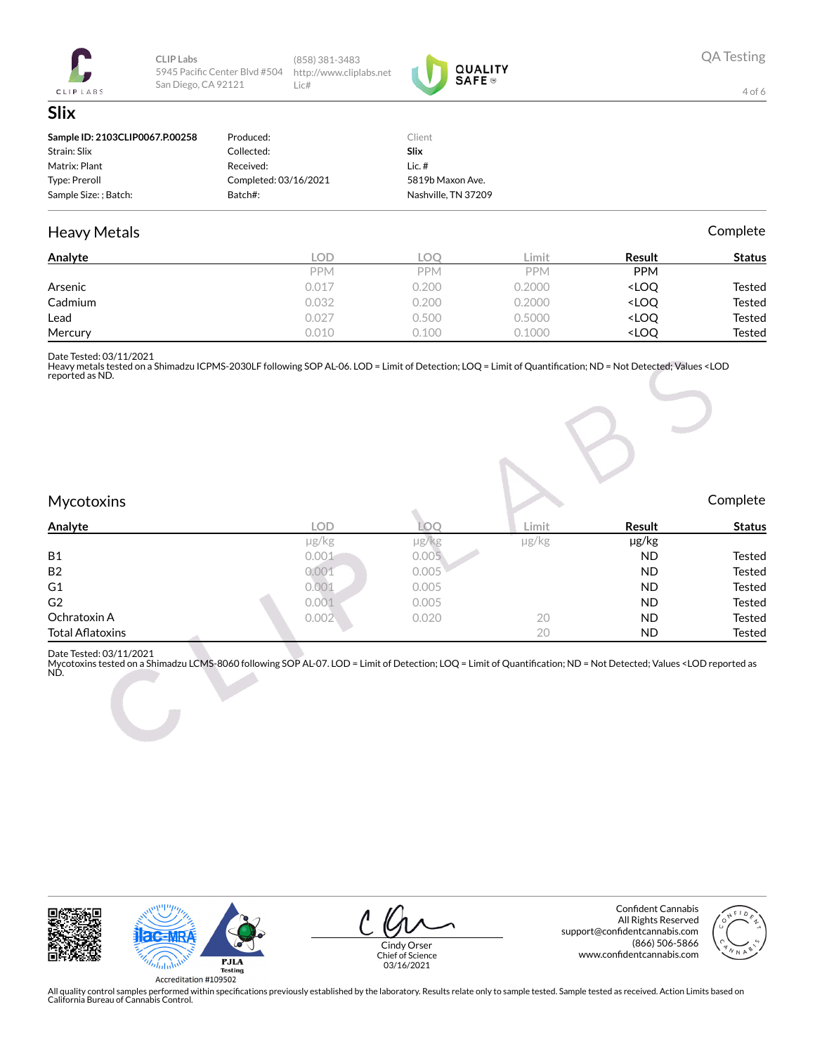

CLIP Labs 5945 Pacific Center Blvd #504 San Diego, CA 92121

(858) 381-3483 http://www.cliplabs.net Lic#

0.032

0.027

0.010



4 of 6

**Tested** 

Tested

Tested

Complete

| Sample ID: 2103CLIP0067.P.00258 | Produced:             | Client              |            |                                    |               |
|---------------------------------|-----------------------|---------------------|------------|------------------------------------|---------------|
| Strain: Slix                    | Collected:            | <b>Slix</b>         |            |                                    |               |
| Matrix: Plant                   | Received:             | Lic. $#$            |            |                                    |               |
| Type: Preroll                   | Completed: 03/16/2021 | 5819b Maxon Ave.    |            |                                    |               |
| Sample Size: ; Batch:           | Batch#:               | Nashville, TN 37209 |            |                                    |               |
| <b>Heavy Metals</b>             |                       |                     |            |                                    | Complete      |
| Analyte                         | <b>LOD</b>            | <b>LOO</b>          | Limit      | Result                             | <b>Status</b> |
|                                 | <b>PPM</b>            | <b>PPM</b>          | <b>PPM</b> | <b>PPM</b>                         |               |
| Arsenic                         | 0.017                 | 0.200               | 0.2000     | <loo< td=""><td>Tested</td></loo<> | Tested        |

 $0.200$ 

0.500

 $0.100$ 

0.2000

0.5000

0.1000

<LOQ

<LOQ

<LOQ

Cadmium

Mercury

Lead

Date Tested: 03/11/2021 Heavy metals testadon a Shimadzu ICPMS-2030LF following SOP AL-06. LOD = Limit of Detection; LOQ = Limit of Quantification; ND = Not Detected; Values <LOD<br>Heavy metals tested on a Shimadzu ICPMS-2030LF following SOP AL-06.

#### Mycotoxins

| $\blacksquare$          |       |            |        |           |               |
|-------------------------|-------|------------|--------|-----------|---------------|
| <b>Analyte</b>          | LOD   | ے ک        | ∟imit. | Result    | <b>Status</b> |
|                         | µg/kg | $\mu$ g/kg | µg/kg  | µg/kg     |               |
| <b>B1</b>               | 0.001 | 0.005      |        | <b>ND</b> | Tested        |
| <b>B2</b>               | 0.001 | 0.005      |        | <b>ND</b> | Tested        |
| G <sub>1</sub>          | 0.001 | 0.005      |        | <b>ND</b> | Tested        |
| G <sub>2</sub>          | 0.001 | 0.005      |        | <b>ND</b> | Tested        |
| Ochratoxin A            | 0.002 | 0.020      | 20     | <b>ND</b> | Tested        |
| <b>Total Aflatoxins</b> |       |            | 20     | <b>ND</b> | Tested        |
|                         |       |            |        |           |               |

Date Tested: 03/11/2021

Diversion out an example and the MS-8060 following SOP AL-07. LOD = Limit of Detection; LOQ = Limit of Quantification; ND = Not Detected; Values <LOD reported as<br>ND.





Cindy Orser

Chief of Science 03/16/2021

Confident Cannabis All Rights Reserved support@confidentcannabis.com (866) 506-5866 www.confidentcannabis.com

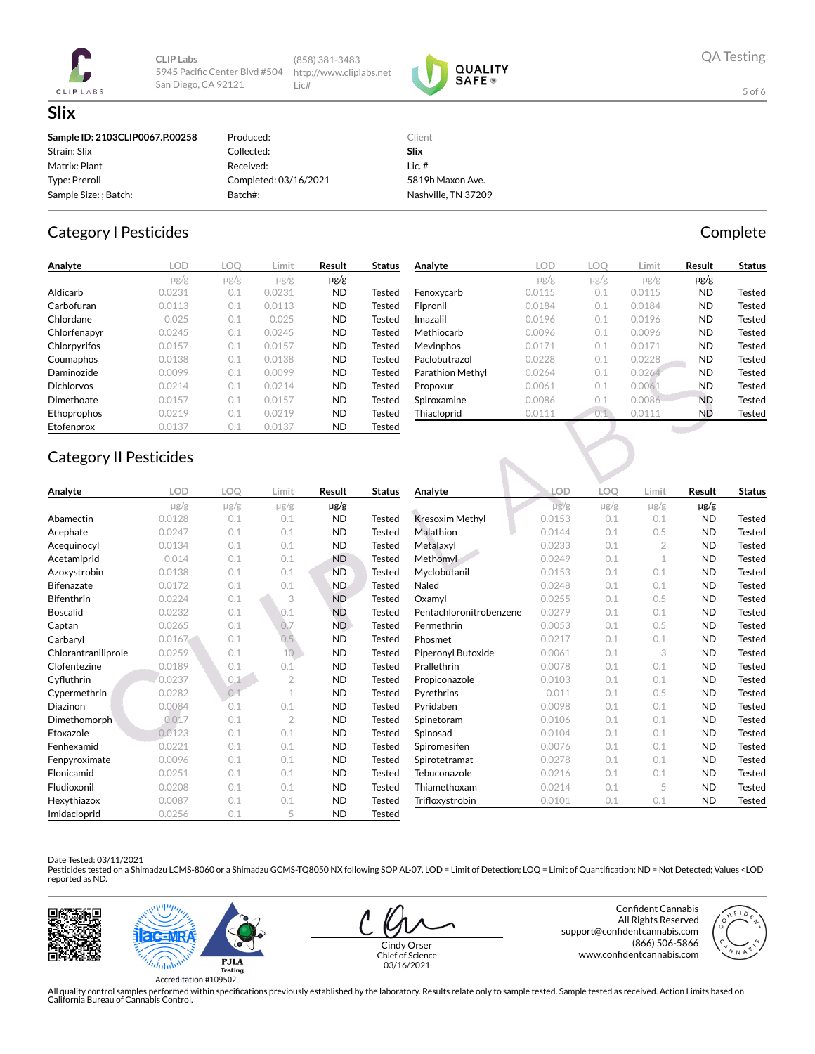

CLIP Labs 5945 Pacific Center Blvd #504 San Diego, CA 92121

(858) 381-3483 http://www.cliplabs.net Lic#



**QA Testing** 

Complete

5 of 6

| Sample ID: 2103CLIP0067.P.00258 | Produced:             | Client              |
|---------------------------------|-----------------------|---------------------|
| Strain: Slix                    | Collected:            | Slix                |
| Matrix: Plant                   | Received:             | Lic.#               |
| Type: Preroll                   | Completed: 03/16/2021 | 5819b Maxon Ave.    |
| Sample Size: ; Batch:           | Batch#:               | Nashville, TN 37209 |

#### **Category I Pesticides**

| Analyte           | lod       | LOO       | .imit     | Result    | Status        |
|-------------------|-----------|-----------|-----------|-----------|---------------|
|                   | $\mu$ g/g | $\mu$ g/g | $\mu$ g/g | µg/g      |               |
| Aldicarb          | 0.0231    | 0.1       | 0.0231    | <b>ND</b> | Tested        |
| Carbofuran        | 0.0113    | 0.1       | 0.0113    | <b>ND</b> | <b>Tested</b> |
| Chlordane         | 0.025     | 0.1       | 0.025     | <b>ND</b> | Tested        |
| Chlorfenapyr      | 0.0245    | 0.1       | 0.0245    | <b>ND</b> | <b>Tested</b> |
| Chlorpyrifos      | 0.0157    | 0.1       | 0.0157    | <b>ND</b> | Tested        |
| Coumaphos         | 0.0138    | 0.1       | 0.0138    | <b>ND</b> | Tested        |
| Daminozide        | 0.0099    | 0.1       | 0.0099    | <b>ND</b> | Tested        |
| <b>Dichlorvos</b> | 0.0214    | 0.1       | 0.0214    | <b>ND</b> | <b>Tested</b> |
| Dimethoate        | 0.0157    | 0.1       | 0.0157    | <b>ND</b> | Tested        |
| Ethoprophos       | 0.0219    | 0.1       | 0.0219    | <b>ND</b> | Tested        |
| Etofenprox        | 0.0137    | 0.1       | 0.0137    | <b>ND</b> | Tested        |

| Analyte          | LOD       | LOO       | Limit     | Result    | <b>Status</b> |
|------------------|-----------|-----------|-----------|-----------|---------------|
|                  | $\mu$ g/g | $\mu$ g/g | $\mu$ g/g | $\mu$ g/g |               |
| Fenoxycarb       | 0.0115    | 0.1       | 0.0115    | <b>ND</b> | <b>Tested</b> |
| Fipronil         | 0.0184    | 0.1       | 0.0184    | <b>ND</b> | Tested        |
| Imazalil         | 0.0196    | 0.1       | 0.0196    | <b>ND</b> | Tested        |
| Methiocarb       | 0.0096    | 0.1       | 0.0096    | <b>ND</b> | <b>Tested</b> |
| <b>Mevinphos</b> | 0.0171    | 0.1       | 0.0171    | <b>ND</b> | Tested        |
| Paclobutrazol    | 0.0228    | 0.1       | 0.0228    | <b>ND</b> | Tested        |
| Parathion Methyl | 0.0264    | 0.1       | 0.0264    | <b>ND</b> | Tested        |
| Propoxur         | 0.0061    | 0.1       | 0.0061    | <b>ND</b> | Tested        |
| Spiroxamine      | 0.0086    | 0.1       | 0.0086    | <b>ND</b> | Tested        |
| Thiacloprid      | 0.0111    | 0.1       | 0.0111    | <b>ND</b> | <b>Tested</b> |
|                  |           |           |           |           |               |

# **Category II Pesticides**

| Analyte             | LOD       | LOO       | Limit           | Result    | <b>Status</b> | Analyte                 | LOD       | LOO       | Limit     | Result    | <b>Status</b> |
|---------------------|-----------|-----------|-----------------|-----------|---------------|-------------------------|-----------|-----------|-----------|-----------|---------------|
|                     | $\mu$ g/g | $\mu$ g/g | $\mu$ g/g       | $\mu$ g/g |               |                         | $\mu$ g/g | $\mu$ g/g | $\mu$ g/g | $\mu$ g/g |               |
| Abamectin           | 0.0128    | 0.1       | 0.1             | <b>ND</b> | Tested        | <b>Kresoxim Methyl</b>  | 0.0153    | 0.1       | 0.1       | <b>ND</b> | Tested        |
| Acephate            | 0.0247    | 0.1       | 0.1             | <b>ND</b> | <b>Tested</b> | Malathion               | 0.0144    | 0.1       | 0.5       | <b>ND</b> | <b>Tested</b> |
| Acequinocyl         | 0.0134    | 0.1       | 0.1             | <b>ND</b> | <b>Tested</b> | Metalaxyl               | 0.0233    | 0.1       | 2         | <b>ND</b> | <b>Tested</b> |
| Acetamiprid         | 0.014     | 0.1       | 0.1             | <b>ND</b> | Tested        | Methomyl                | 0.0249    | 0.1       |           | <b>ND</b> | Tested        |
| Azoxystrobin        | 0.0138    | 0.1       | 0.1             | <b>ND</b> | <b>Tested</b> | Myclobutanil            | 0.0153    | 0.1       | 0.1       | <b>ND</b> | <b>Tested</b> |
| <b>Bifenazate</b>   | 0.0172    | 0.1       | 0.1             | <b>ND</b> | Tested        | Naled                   | 0.0248    | 0.1       | 0.1       | <b>ND</b> | <b>Tested</b> |
| <b>Bifenthrin</b>   | 0.0224    | 0.1       | 3               | <b>ND</b> | <b>Tested</b> | Oxamyl                  | 0.0255    | 0.1       | 0.5       | <b>ND</b> | <b>Tested</b> |
| <b>Boscalid</b>     | 0.0232    | 0.1       | 0.1             | <b>ND</b> | <b>Tested</b> | Pentachloronitrobenzene | 0.0279    | 0.1       | 0.1       | <b>ND</b> | <b>Tested</b> |
| Captan              | 0.0265    | 0.1       | 0.7             | ND.       | <b>Tested</b> | Permethrin              | 0.0053    | 0.1       | 0.5       | <b>ND</b> | <b>Tested</b> |
| Carbaryl            | 0.0167    | 0.1       | 0.5             | <b>ND</b> | Tested        | Phosmet                 | 0.0217    | 0.1       | 0.1       | <b>ND</b> | <b>Tested</b> |
| Chlorantraniliprole | 0.0259    | 0.1       | 10 <sup>°</sup> | <b>ND</b> | <b>Tested</b> | Piperonyl Butoxide      | 0.0061    | 0.1       | 3         | <b>ND</b> | <b>Tested</b> |
| Clofentezine        | 0.0189    | 0.1       | 0.1             | <b>ND</b> | Tested        | Prallethrin             | 0.0078    | 0.1       | 0.1       | <b>ND</b> | <b>Tested</b> |
| Cyfluthrin          | 0.0237    | 0.1       | $\overline{2}$  | <b>ND</b> | Tested        | Propiconazole           | 0.0103    | 0.1       | 0.1       | <b>ND</b> | <b>Tested</b> |
| Cypermethrin        | 0.0282    | 0.1       |                 | <b>ND</b> | <b>Tested</b> | Pyrethrins              | 0.011     | 0.1       | 0.5       | <b>ND</b> | <b>Tested</b> |
| <b>Diazinon</b>     | 0.0084    | 0.1       | 0.1             | <b>ND</b> | Tested        | Pyridaben               | 0.0098    | 0.1       | 0.1       | <b>ND</b> | <b>Tested</b> |
| Dimethomorph        | 0.017     | 0.1       | $\overline{2}$  | <b>ND</b> | <b>Tested</b> | Spinetoram              | 0.0106    | 0.1       | 0.1       | <b>ND</b> | <b>Tested</b> |
| Etoxazole           | 0.0123    | 0.1       | 0.1             | <b>ND</b> | Tested        | Spinosad                | 0.0104    | 0.1       | 0.1       | ND        | Tested        |
| Fenhexamid          | 0.0221    | 0.1       | 0.1             | <b>ND</b> | Tested        | Spiromesifen            | 0.0076    | 0.1       | 0.1       | <b>ND</b> | <b>Tested</b> |
| Fenpyroximate       | 0.0096    | 0.1       | 0.1             | <b>ND</b> | Tested        | Spirotetramat           | 0.0278    | 0.1       | 0.1       | <b>ND</b> | <b>Tested</b> |
| Flonicamid          | 0.0251    | 0.1       | 0.1             | <b>ND</b> | Tested        | Tebuconazole            | 0.0216    | 0.1       | 0.1       | <b>ND</b> | <b>Tested</b> |
| Fludioxonil         | 0.0208    | 0.1       | 0.1             | <b>ND</b> | Tested        | Thiamethoxam            | 0.0214    | 0.1       | 5         | <b>ND</b> | <b>Tested</b> |
| Hexythiazox         | 0.0087    | 0.1       | 0.1             | <b>ND</b> | Tested        | Trifloxystrobin         | 0.0101    | 0.1       | 0.1       | <b>ND</b> | Tested        |
| Imidacloprid        | 00256     | 01        |                 | <b>ND</b> | Tested        |                         |           |           |           |           |               |

#### Date Tested: 03/11/2021

Late to the water of the contract LCMS-8060 or a Shimadzu GCMS-TQ8050 NX following SOP AL-07. LOD = Limit of Detection; LOQ = Limit of Quantification; ND = Not Detected; Values <LOD<br>Pesticides tested on a Shimadzu LCMS-806





Cindy Orser Chief of Science 03/16/2021

Confident Cannabis All Rights Reserved support@confidentcannabis.com (866) 506-5866 www.confidentcannabis.com